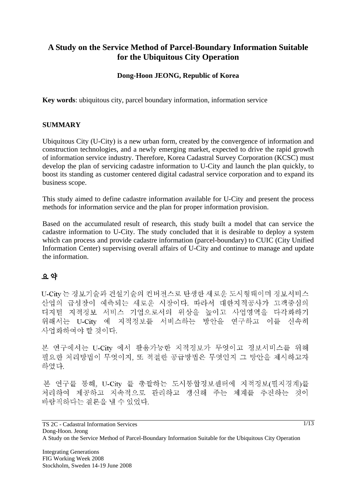# **A Study on the Service Method of Parcel-Boundary Information Suitable for the Ubiquitous City Operation**

### **Dong-Hoon JEONG, Republic of Korea**

**Key words**: ubiquitous city, parcel boundary information, information service

#### **SUMMARY**

Ubiquitous City (U-City) is a new urban form, created by the convergence of information and construction technologies, and a newly emerging market, expected to drive the rapid growth of information service industry. Therefore, Korea Cadastral Survey Corporation (KCSC) must develop the plan of servicing cadastre information to U-City and launch the plan quickly, to boost its standing as customer centered digital cadastral service corporation and to expand its business scope.

This study aimed to define cadastre information available for U-City and present the process methods for information service and the plan for proper information provision.

Based on the accumulated result of research, this study built a model that can service the cadastre information to U-City. The study concluded that it is desirable to deploy a system which can process and provide cadastre information (parcel-boundary) to CUIC (City Unified Information Center) supervising overall affairs of U-City and continue to manage and update the information.

#### 요약

U-City 는 정보기술과 건설기술의 컨버전스로 탄생한 새로운 도시형태이며 정보서비스 산업의 급성장이 예측되는 새로운 시장이다. 따라서 대한지적공사가 고객중심의 디지털 지적정보 서비스 기업으로서의 위상을 높이고 사업영역을 다각화하기 위해서는 U-City 에 지적정보를 서비스하는 방안을 연구하고 이를 신속히 사업화하여야 할 것이다.

본 연구에서는 U-City 에서 활용가능한 지적정보가 무엇이고 정보서비스를 위해 필요한 처리방법이 무엇이지. 또 적절한 공급방법은 무엇인지 그 방안을 제시하고자 하였다.

본 연구를 통해, U-City 를 총괄하는 도시통합정보센터에 지적정보(필지경계)를 처리하여 제공하고 지속적으로 관리하고 갱신해 주는 체계를 추진하는 것이 바람직하다는 결론을 낼 수 있었다.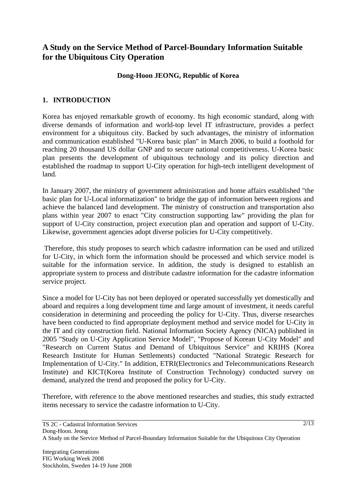# **A Study on the Service Method of Parcel-Boundary Information Suitable for the Ubiquitous City Operation**

#### **Dong-Hoon JEONG, Republic of Korea**

### **1. INTRODUCTION**

Korea has enjoyed remarkable growth of economy. Its high economic standard, along with diverse demands of information and world-top level IT infrastructure, provides a perfect environment for a ubiquitous city. Backed by such advantages, the ministry of information and communication established "U-Korea basic plan" in March 2006, to build a foothold for reaching 20 thousand US dollar GNP and to secure national competitiveness. U-Korea basic plan presents the development of ubiquitous technology and its policy direction and established the roadmap to support U-City operation for high-tech intelligent development of land.

In January 2007, the ministry of government administration and home affairs established "the basic plan for U-Local informatization" to bridge the gap of information between regions and achieve the balanced land development. The ministry of construction and transportation also plans within year 2007 to enact "City construction supporting law" providing the plan for support of U-City construction, project execution plan and operation and support of U-City. Likewise, government agencies adopt diverse policies for U-City competitively.

 Therefore, this study proposes to search which cadastre information can be used and utilized for U-City, in which form the information should be processed and which service model is suitable for the information service. In addition, the study is designed to establish an appropriate system to process and distribute cadastre information for the cadastre information service project.

Since a model for U-City has not been deployed or operated successfully yet domestically and aboard and requires a long development time and large amount of investment, it needs careful consideration in determining and proceeding the policy for U-City. Thus, diverse researches have been conducted to find appropriate deployment method and service model for U-City in the IT and city construction field. National Information Society Agency (NICA) published in 2005 "Study on U-City Application Service Model", "Propose of Korean U-City Model" and "Research on Current Status and Demand of Ubiquitous Service" and KRIHS (Korea Research Institute for Human Settlements) conducted "National Strategic Research for Implementation of U-City." In addition, ETRI(Electronics and Telecommunications Research Institute) and KICT(Korea Institute of Construction Technology) conducted survey on demand, analyzed the trend and proposed the policy for U-City.

Therefore, with reference to the above mentioned researches and studies, this study extracted items necessary to service the cadastre information to U-City.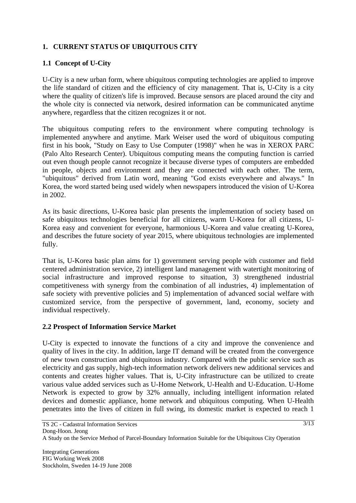## **1. CURRENT STATUS OF UBIQUITOUS CITY**

## **1.1 Concept of U-City**

U-City is a new urban form, where ubiquitous computing technologies are applied to improve the life standard of citizen and the efficiency of city management. That is, U-City is a city where the quality of citizen's life is improved. Because sensors are placed around the city and the whole city is connected via network, desired information can be communicated anytime anywhere, regardless that the citizen recognizes it or not.

The ubiquitous computing refers to the environment where computing technology is implemented anywhere and anytime. Mark Weiser used the word of ubiquitous computing first in his book, "Study on Easy to Use Computer (1998)" when he was in XEROX PARC (Palo Alto Research Center). Ubiquitous computing means the computing function is carried out even though people cannot recognize it because diverse types of computers are embedded in people, objects and environment and they are connected with each other. The term, "ubiquitous" derived from Latin word, meaning "God exists everywhere and always." In Korea, the word started being used widely when newspapers introduced the vision of U-Korea in 2002.

As its basic directions, U-Korea basic plan presents the implementation of society based on safe ubiquitous technologies beneficial for all citizens, warm U-Korea for all citizens, U-Korea easy and convenient for everyone, harmonious U-Korea and value creating U-Korea, and describes the future society of year 2015, where ubiquitous technologies are implemented fully.

That is, U-Korea basic plan aims for 1) government serving people with customer and field centered administration service, 2) intelligent land management with watertight monitoring of social infrastructure and improved response to situation, 3) strengthened industrial competitiveness with synergy from the combination of all industries, 4) implementation of safe society with preventive policies and 5) implementation of advanced social welfare with customized service, from the perspective of government, land, economy, society and individual respectively.

## **2.2 Prospect of Information Service Market**

U-City is expected to innovate the functions of a city and improve the convenience and quality of lives in the city. In addition, large IT demand will be created from the convergence of new town construction and ubiquitous industry. Compared with the public service such as electricity and gas supply, high-tech information network delivers new additional services and contents and creates higher values. That is, U-City infrastructure can be utilized to create various value added services such as U-Home Network, U-Health and U-Education. U-Home Network is expected to grow by 32% annually, including intelligent information related devices and domestic appliance, home network and ubiquitous computing. When U-Health penetrates into the lives of citizen in full swing, its domestic market is expected to reach 1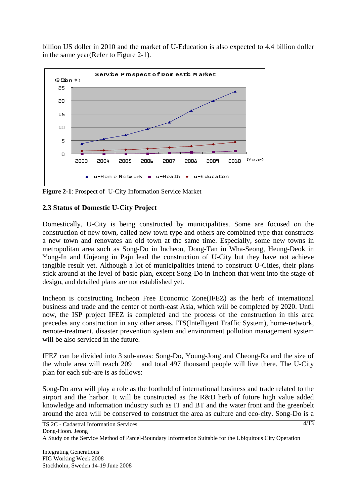billion US doller in 2010 and the market of U-Education is also expected to 4.4 billion doller in the same year(Refer to Figure 2-1).



**Figure 2-1**: Prospect of U-City Information Service Market

### **2.3 Status of Domestic U-City Project**

Domestically, U-City is being constructed by municipalities. Some are focused on the construction of new town, called new town type and others are combined type that constructs a new town and renovates an old town at the same time. Especially, some new towns in metropolitan area such as Song-Do in Incheon, Dong-Tan in Wha-Seong, Heung-Deok in Yong-In and Unjeong in Paju lead the construction of U-City but they have not achieve tangible result yet. Although a lot of municipalities intend to construct U-Cities, their plans stick around at the level of basic plan, except Song-Do in Incheon that went into the stage of design, and detailed plans are not established yet.

Incheon is constructing Incheon Free Economic Zone(IFEZ) as the herb of international business and trade and the center of north-east Asia, which will be completed by 2020. Until now, the ISP project IFEZ is completed and the process of the construction in this area precedes any construction in any other areas. ITS(Intelligent Traffic System), home-network, remote-treatment, disaster prevention system and environment pollution management system will be also serviced in the future.

IFEZ can be divided into 3 sub-areas: Song-Do, Young-Jong and Cheong-Ra and the size of the whole area will reach 209 and total 497 thousand people will live there. The U-City plan for each sub-are is as follows:

Song-Do area will play a role as the foothold of international business and trade related to the airport and the harbor. It will be constructed as the R&D herb of future high value added knowledge and information industry such as IT and BT and the water front and the greenbelt around the area will be conserved to construct the area as culture and eco-city. Song-Do is a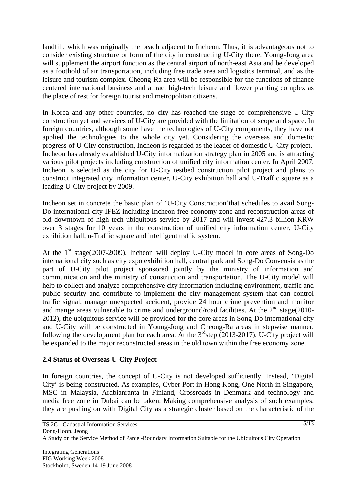landfill, which was originally the beach adjacent to Incheon. Thus, it is advantageous not to consider existing structure or form of the city in constructing U-City there. Young-Jong area will supplement the airport function as the central airport of north-east Asia and be developed as a foothold of air transportation, including free trade area and logistics terminal, and as the leisure and tourism complex. Cheong-Ra area will be responsible for the functions of finance centered international business and attract high-tech leisure and flower planting complex as the place of rest for foreign tourist and metropolitan citizens.

In Korea and any other countries, no city has reached the stage of comprehensive U-City construction yet and services of U-City are provided with the limitation of scope and space. In foreign countries, although some have the technologies of U-City components, they have not applied the technologies to the whole city yet. Considering the overseas and domestic progress of U-City construction, Incheon is regarded as the leader of domestic U-City project. Incheon has already established U-City informatization strategy plan in 2005 and is attracting various pilot projects including construction of unified city information center. In April 2007, Incheon is selected as the city for U-City testbed construction pilot project and plans to construct integrated city information center, U-City exhibition hall and U-Traffic square as a leading U-City project by 2009.

Incheon set in concrete the basic plan of 'U-City Construction'that schedules to avail Song-Do international city IFEZ including Incheon free economy zone and reconstruction areas of old downtown of high-tech ubiquitous service by 2017 and will invest 427.3 billion KRW over 3 stages for 10 years in the construction of unified city information center, U-City exhibition hall, u-Traffic square and intelligent traffic system.

At the  $1<sup>st</sup> stage(2007-2009)$ , Incheon will deploy U-City model in core areas of Song-Do international city such as city expo exhibition hall, central park and Song-Do Convensia as the part of U-City pilot project sponsored jointly by the ministry of information and communication and the ministry of construction and transportation. The U-City model will help to collect and analyze comprehensive city information including environment, traffic and public security and contribute to implement the city management system that can control traffic signal, manage unexpected accident, provide 24 hour crime prevention and monitor and mange areas vulnerable to crime and underground/road facilities. At the  $2<sup>nd</sup>$  stage(2010-2012), the ubiquitous service will be provided for the core areas in Song-Do international city and U-City will be constructed in Young-Jong and Cheong-Ra areas in stepwise manner, following the development plan for each area. At the  $3<sup>rd</sup>$ step (2013-2017), U-City project will be expanded to the major reconstructed areas in the old town within the free economy zone.

## **2.4 Status of Overseas U-City Project**

In foreign countries, the concept of U-City is not developed sufficiently. Instead, 'Digital City' is being constructed. As examples, Cyber Port in Hong Kong, One North in Singapore, MSC in Malaysia, Arabianranta in Finland, Crossroads in Denmark and technology and media free zone in Dubai can be taken. Making comprehensive analysis of such examples, they are pushing on with Digital City as a strategic cluster based on the characteristic of the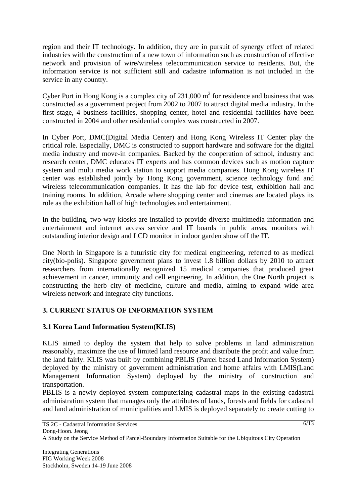region and their IT technology. In addition, they are in pursuit of synergy effect of related industries with the construction of a new town of information such as construction of effective network and provision of wire/wireless telecommunication service to residents. But, the information service is not sufficient still and cadastre information is not included in the service in any country.

Cyber Port in Hong Kong is a complex city of  $231,000 \text{ m}^2$  for residence and business that was constructed as a government project from 2002 to 2007 to attract digital media industry. In the first stage, 4 business facilities, shopping center, hotel and residential facilities have been constructed in 2004 and other residential complex was constructed in 2007.

In Cyber Port, DMC(Digital Media Center) and Hong Kong Wireless IT Center play the critical role. Especially, DMC is constructed to support hardware and software for the digital media industry and move-in companies. Backed by the cooperation of school, industry and research center, DMC educates IT experts and has common devices such as motion capture system and multi media work station to support media companies. Hong Kong wireless IT center was established jointly by Hong Kong government, science technology fund and wireless telecommunication companies. It has the lab for device test, exhibition hall and training rooms. In addition, Arcade where shopping center and cinemas are located plays its role as the exhibition hall of high technologies and entertainment.

In the building, two-way kiosks are installed to provide diverse multimedia information and entertainment and internet access service and IT boards in public areas, monitors with outstanding interior design and LCD monitor in indoor garden show off the IT.

One North in Singapore is a futuristic city for medical engineering, referred to as medical city(bio-polis). Singapore government plans to invest 1.8 billion dollars by 2010 to attract researchers from internationally recognized 15 medical companies that produced great achievement in cancer, immunity and cell engineering. In addition, the One North project is constructing the herb city of medicine, culture and media, aiming to expand wide area wireless network and integrate city functions.

## **3. CURRENT STATUS OF INFORMATION SYSTEM**

## **3.1 Korea Land Information System(KLIS)**

KLIS aimed to deploy the system that help to solve problems in land administration reasonably, maximize the use of limited land resource and distribute the profit and value from the land fairly. KLIS was built by combining PBLIS (Parcel based Land Information System) deployed by the ministry of government administration and home affairs with LMIS(Land Management Information System) deployed by the ministry of construction and transportation.

PBLIS is a newly deployed system computerizing cadastral maps in the existing cadastral administration system that manages only the attributes of lands, forests and fields for cadastral and land administration of municipalities and LMIS is deployed separately to create cutting to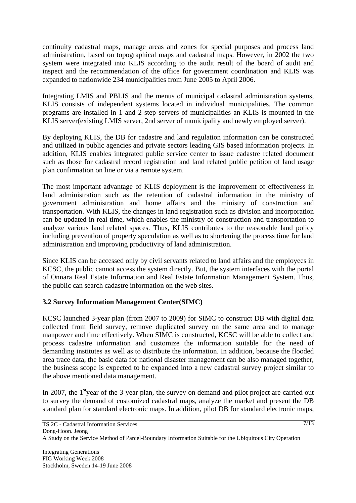continuity cadastral maps, manage areas and zones for special purposes and process land administration, based on topographical maps and cadastral maps. However, in 2002 the two system were integrated into KLIS according to the audit result of the board of audit and inspect and the recommendation of the office for government coordination and KLIS was expanded to nationwide 234 municipalities from June 2005 to April 2006.

Integrating LMIS and PBLIS and the menus of municipal cadastral administration systems, KLIS consists of independent systems located in individual municipalities. The common programs are installed in 1 and 2 step servers of municipalities an KLIS is mounted in the KLIS server(existing LMIS server, 2nd server of municipality and newly employed server).

By deploying KLIS, the DB for cadastre and land regulation information can be constructed and utilized in public agencies and private sectors leading GIS based information projects. In addition, KLIS enables integrated public service center to issue cadastre related document such as those for cadastral record registration and land related public petition of land usage plan confirmation on line or via a remote system.

The most important advantage of KLIS deployment is the improvement of effectiveness in land administration such as the retention of cadastral information in the ministry of government administration and home affairs and the ministry of construction and transportation. With KLIS, the changes in land registration such as division and incorporation can be updated in real time, which enables the ministry of construction and transportation to analyze various land related spaces. Thus, KLIS contributes to the reasonable land policy including prevention of property speculation as well as to shortening the process time for land administration and improving productivity of land administration.

Since KLIS can be accessed only by civil servants related to land affairs and the employees in KCSC, the public cannot access the system directly. But, the system interfaces with the portal of Onnara Real Estate Information and Real Estate Information Management System. Thus, the public can search cadastre information on the web sites.

## **3.2 Survey Information Management Center(SIMC)**

KCSC launched 3-year plan (from 2007 to 2009) for SIMC to construct DB with digital data collected from field survey, remove duplicated survey on the same area and to manage manpower and time effectively. When SIMC is constructed, KCSC will be able to collect and process cadastre information and customize the information suitable for the need of demanding institutes as well as to distribute the information. In addition, because the flooded area trace data, the basic data for national disaster management can be also managed together, the business scope is expected to be expanded into a new cadastral survey project similar to the above mentioned data management.

In 2007, the 1<sup>st</sup>year of the 3-year plan, the survey on demand and pilot project are carried out to survey the demand of customized cadastral maps, analyze the market and present the DB standard plan for standard electronic maps. In addition, pilot DB for standard electronic maps,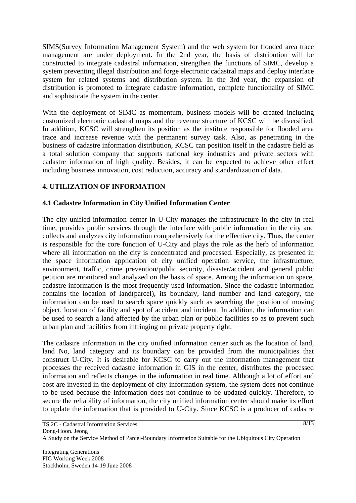SIMS(Survey Information Management System) and the web system for flooded area trace management are under deployment. In the 2nd year, the basis of distribution will be constructed to integrate cadastral information, strengthen the functions of SIMC, develop a system preventing illegal distribution and forge electronic cadastral maps and deploy interface system for related systems and distribution system. In the 3rd year, the expansion of distribution is promoted to integrate cadastre information, complete functionality of SIMC and sophisticate the system in the center.

With the deployment of SIMC as momentum, business models will be created including customized electronic cadastral maps and the revenue structure of KCSC will be diversified. In addition, KCSC will strengthen its position as the institute responsible for flooded area trace and increase revenue with the permanent survey task. Also, as penetrating in the business of cadastre information distribution, KCSC can position itself in the cadastre field as a total solution company that supports national key industries and private sectors with cadastre information of high quality. Besides, it can be expected to achieve other effect including business innovation, cost reduction, accuracy and standardization of data.

# **4. UTILIZATION OF INFORMATION**

## **4.1 Cadastre Information in City Unified Information Center**

The city unified information center in U-City manages the infrastructure in the city in real time, provides public services through the interface with public information in the city and collects and analyzes city information comprehensively for the effective city. Thus, the center is responsible for the core function of U-City and plays the role as the herb of information where all information on the city is concentrated and processed. Especially, as presented in the space information application of city unified operation service, the infrastructure, environment, traffic, crime prevention/public security, disaster/accident and general public petition are monitored and analyzed on the basis of space. Among the information on space, cadastre information is the most frequently used information. Since the cadastre information contains the location of land(parcel), its boundary, land number and land category, the information can be used to search space quickly such as searching the position of moving object, location of facility and spot of accident and incident. In addition, the information can be used to search a land affected by the urban plan or public facilities so as to prevent such urban plan and facilities from infringing on private property right.

The cadastre information in the city unified information center such as the location of land, land No, land category and its boundary can be provided from the municipalities that construct U-City. It is desirable for KCSC to carry out the information management that processes the received cadastre information in GIS in the center, distributes the processed information and reflects changes in the information in real time. Although a lot of effort and cost are invested in the deployment of city information system, the system does not continue to be used because the information does not continue to be updated quickly. Therefore, to secure the reliability of information, the city unified information center should make its effort to update the information that is provided to U-City. Since KCSC is a producer of cadastre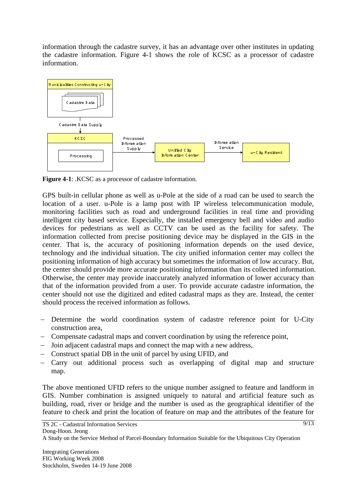information through the cadastre survey, it has an advantage over other institutes in updating the cadastre information. Figure 4-1 shows the role of KCSC as a processor of cadastre information.



**Figure 4-1**: .KCSC as a processor of cadastre information.

GPS built-in cellular phone as well as u-Pole at the side of a road can be used to search the location of a user. u-Pole is a lamp post with IP wireless telecommunication module, monitoring facilities such as road and underground facilities in real time and providing intelligent city based service. Especially, the installed emergency bell and video and audio devices for pedestrians as well as CCTV can be used as the facility for safety. The information collected from precise positioning device may be displayed in the GIS in the center. That is, the accuracy of positioning information depends on the used device, technology and the individual situation. The city unified information center may collect the positioning information of high accuracy but sometimes the information of low accuracy. But, the center should provide more accurate positioning information than its collected information. Otherwise, the center may provide inaccurately analyzed information of lower accuracy than that of the information provided from a user. To provide accurate cadastre information, the center should not use the digitized and edited cadastral maps as they are. Instead, the center should process the received information as follows.

- − Determine the world coordination system of cadastre reference point for U-City construction area,
- − Compensate cadastral maps and convert coordination by using the reference point,
- − Join adjacent cadastral maps and connect the map with a new address,
- − Construct spatial DB in the unit of parcel by using UFID, and
- − Carry out additional process such as overlapping of digital map and structure map.

The above mentioned UFID refers to the unique number assigned to feature and landform in GIS. Number combination is assigned uniquely to natural and artificial feature such as building, road, river or bridge and the number is used as the geographical identifier of the feature to check and print the location of feature on map and the attributes of the feature for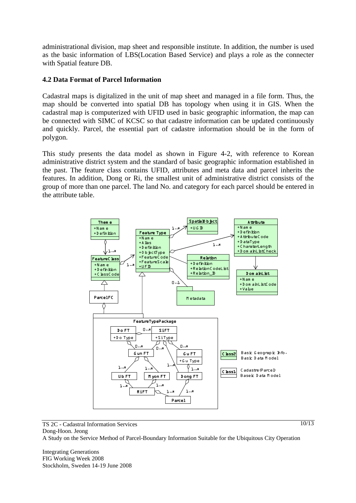administrational division, map sheet and responsible institute. In addition, the number is used as the basic information of LBS(Location Based Service) and plays a role as the connecter with Spatial feature DB.

#### **4.2 Data Format of Parcel Information**

Cadastral maps is digitalized in the unit of map sheet and managed in a file form. Thus, the map should be converted into spatial DB has topology when using it in GIS. When the cadastral map is computerized with UFID used in basic geographic information, the map can be connected with SIMC of KCSC so that cadastre information can be updated continuously and quickly. Parcel, the essential part of cadastre information should be in the form of polygon.

This study presents the data model as shown in Figure 4-2, with reference to Korean administrative district system and the standard of basic geographic information established in the past. The feature class contains UFID, attributes and meta data and parcel inherits the features. In addition, Dong or Ri, the smallest unit of administrative district consists of the group of more than one parcel. The land No. and category for each parcel should be entered in the attribute table.



TS 2C - Cadastral Information Services Dong-Hoon. Jeong A Study on the Service Method of Parcel-Boundary Information Suitable for the Ubiquitous City Operation

Integrating Generations FIG Working Week 2008 Stockholm, Sweden 14-19 June 2008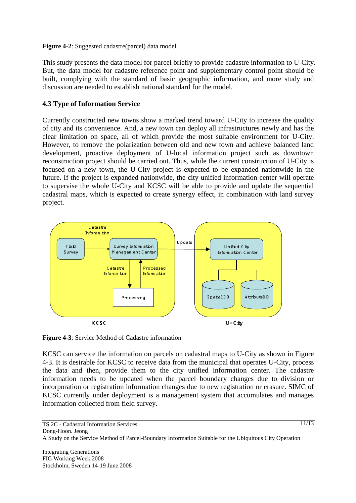#### **Figure 4-2**: Suggested cadastre(parcel) data model

This study presents the data model for parcel briefly to provide cadastre information to U-City. But, the data model for cadastre reference point and supplementary control point should be built, complying with the standard of basic geographic information, and more study and discussion are needed to establish national standard for the model.

#### **4.3 Type of Information Service**

Currently constructed new towns show a marked trend toward U-City to increase the quality of city and its convenience. And, a new town can deploy all infrastructures newly and has the clear limitation on space, all of which provide the most suitable environment for U-City. However, to remove the polarization between old and new town and achieve balanced land development, proactive deployment of U-local information project such as downtown reconstruction project should be carried out. Thus, while the current construction of U-City is focused on a new town, the U-City project is expected to be expanded nationwide in the future. If the project is expanded nationwide, the city unified information center will operate to supervise the whole U-City and KCSC will be able to provide and update the sequential cadastral maps, which is expected to create synergy effect, in combination with land survey project.



**Figure 4-3**: Service Method of Cadastre information

KCSC can service the information on parcels on cadastral maps to U-City as shown in Figure 4-3. It is desirable for KCSC to receive data from the municipal that operates U-City, process the data and then, provide them to the city unified information center. The cadastre information needs to be updated when the parcel boundary changes due to division or incorporation or registration information changes due to new registration or erasure. SIMC of KCSC currently under deployment is a management system that accumulates and manages information collected from field survey.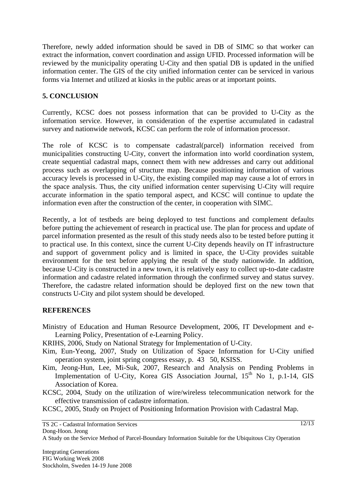Therefore, newly added information should be saved in DB of SIMC so that worker can extract the information, convert coordination and assign UFID. Processed information will be reviewed by the municipality operating U-City and then spatial DB is updated in the unified information center. The GIS of the city unified information center can be serviced in various forms via Internet and utilized at kiosks in the public areas or at important points.

#### **5. CONCLUSION**

Currently, KCSC does not possess information that can be provided to U-City as the information service. However, in consideration of the expertise accumulated in cadastral survey and nationwide network, KCSC can perform the role of information processor.

The role of KCSC is to compensate cadastral(parcel) information received from municipalities constructing U-City, convert the information into world coordination system, create sequential cadastral maps, connect them with new addresses and carry out additional process such as overlapping of structure map. Because positioning information of various accuracy levels is processed in U-City, the existing compiled map may cause a lot of errors in the space analysis. Thus, the city unified information center supervising U-City will require accurate information in the spatio temporal aspect, and KCSC will continue to update the information even after the construction of the center, in cooperation with SIMC.

Recently, a lot of testbeds are being deployed to test functions and complement defaults before putting the achievement of research in practical use. The plan for process and update of parcel information presented as the result of this study needs also to be tested before putting it to practical use. In this context, since the current U-City depends heavily on IT infrastructure and support of government policy and is limited in space, the U-City provides suitable environment for the test before applying the result of the study nationwide. In addition, because U-City is constructed in a new town, it is relatively easy to collect up-to-date cadastre information and cadastre related information through the confirmed survey and status survey. Therefore, the cadastre related information should be deployed first on the new town that constructs U-City and pilot system should be developed.

#### **REFERENCES**

- Ministry of Education and Human Resource Development, 2006, IT Development and e-Learning Policy, Presentation of e-Learning Policy.
- KRIHS, 2006, Study on National Strategy for Implementation of U-City.
- Kim, Eun-Yeong, 2007, Study on Utilization of Space Information for U-City unified operation system, joint spring congress essay, p. 43 50, KSISS.
- Kim, Jeong-Hun, Lee, Mi-Suk, 2007, Research and Analysis on Pending Problems in Implementation of U-City, Korea GIS Association Journal,  $15<sup>th</sup>$  No 1, p.1-14, GIS Association of Korea.
- KCSC, 2004, Study on the utilization of wire/wireless telecommunication network for the effective transmission of cadastre information.

KCSC, 2005, Study on Project of Positioning Information Provision with Cadastral Map.